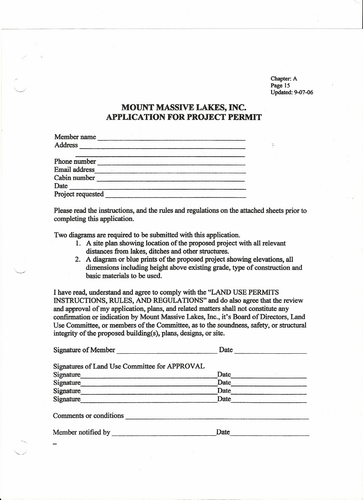Chapter: A Page 15 Updated: 9-07-06

 $\ddot{r}$ 

# **MOUNT MASSIVE** LAKES, **INC. APPLICATION FOR PROJECT PERMIT**

| Member name          |  |  |
|----------------------|--|--|
| <b>Address</b>       |  |  |
|                      |  |  |
| Phone number         |  |  |
| <b>Email address</b> |  |  |
| Cabin number         |  |  |
| Date                 |  |  |
| Project requested    |  |  |

Please read the instructions, and the rules and regulations on the attached sheets prior to completing this application.

Two diagrams are required to be submitted with this application.

*<c.>*

-" *<.:>*

- 1. A site plan showing location of the proposed project with all relevant distances from lakes, ditches and other structures.
- 2. A diagram or blue prints of the proposed project showing elevations, all dimensions including height above existing grade, type of construction and basic materials to be used.

I have read, understand and agree to comply with the "LAND USE PERMITS INSTRUCTIONS, RULES, AND REGULATIONS" and do also agree that the review and approval of my application, plans, and related matters shall not constitute any confirmation or indication by Mount Massive Lakes, Inc., it's Board of Directors, Land Use Committee, or members of the Committee, as to the soundness, safety, or structural integrity of the proposed building(s), plans, designs, or site.

| Signature of Member                           | Date |  |  |
|-----------------------------------------------|------|--|--|
| Signatures of Land Use Committee for APPROVAL |      |  |  |
| Signature                                     | Date |  |  |
| Signature                                     | Date |  |  |
| Signature                                     | Date |  |  |
| Signature                                     | Date |  |  |
| Comments or conditions                        |      |  |  |
| Member notified by                            | Date |  |  |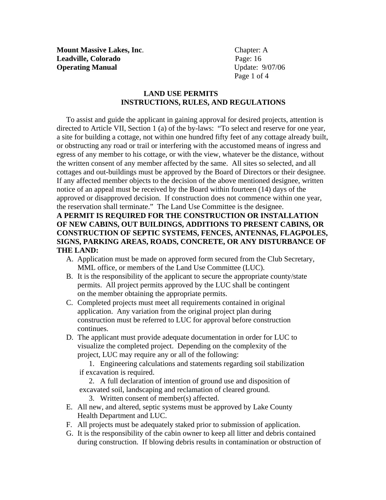**Mount Massive Lakes, Inc.** Chapter: A **Leadville, Colorado** Page: 16 **Operating Manual**  Update: 9/07/06

Page 1 of 4

### **LAND USE PERMITS INSTRUCTIONS, RULES, AND REGULATIONS**

 To assist and guide the applicant in gaining approval for desired projects, attention is directed to Article VII, Section 1 (a) of the by-laws: "To select and reserve for one year, a site for building a cottage, not within one hundred fifty feet of any cottage already built, or obstructing any road or trail or interfering with the accustomed means of ingress and egress of any member to his cottage, or with the view, whatever be the distance, without the written consent of any member affected by the same. All sites so selected, and all cottages and out-buildings must be approved by the Board of Directors or their designee. If any affected member objects to the decision of the above mentioned designee, written notice of an appeal must be received by the Board within fourteen (14) days of the approved or disapproved decision. If construction does not commence within one year, the reservation shall terminate." The Land Use Committee is the designee.

### **A PERMIT IS REQUIRED FOR THE CONSTRUCTION OR INSTALLATION OF NEW CABINS, OUT BUILDINGS, ADDITIONS TO PRESENT CABINS, OR CONSTRUCTION OF SEPTIC SYSTEMS, FENCES, ANTENNAS, FLAGPOLES, SIGNS, PARKING AREAS, ROADS, CONCRETE, OR ANY DISTURBANCE OF THE LAND:**

- A. Application must be made on approved form secured from the Club Secretary, MML office, or members of the Land Use Committee (LUC).
- B. It is the responsibility of the applicant to secure the appropriate county/state permits. All project permits approved by the LUC shall be contingent on the member obtaining the appropriate permits.
- C. Completed projects must meet all requirements contained in original application. Any variation from the original project plan during construction must be referred to LUC for approval before construction continues.
- D. The applicant must provide adequate documentation in order for LUC to visualize the completed project. Depending on the complexity of the project, LUC may require any or all of the following:

1. Engineering calculations and statements regarding soil stabilization if excavation is required.

2. A full declaration of intention of ground use and disposition of excavated soil, landscaping and reclamation of cleared ground.

3. Written consent of member(s) affected.

- E. All new, and altered, septic systems must be approved by Lake County Health Department and LUC.
- F. All projects must be adequately staked prior to submission of application.
- G. It is the responsibility of the cabin owner to keep all litter and debris contained during construction. If blowing debris results in contamination or obstruction of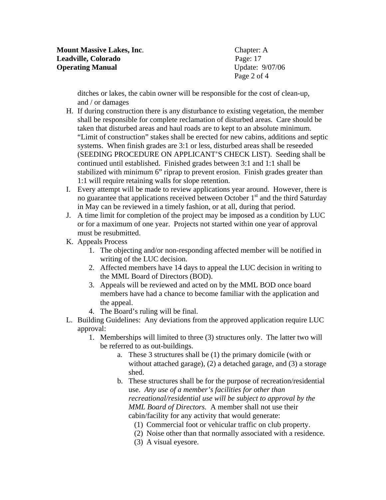Page 2 of 4

 ditches or lakes, the cabin owner will be responsible for the cost of clean-up, and / or damages

- H. If during construction there is any disturbance to existing vegetation, the member shall be responsible for complete reclamation of disturbed areas. Care should be taken that disturbed areas and haul roads are to kept to an absolute minimum. "Limit of construction" stakes shall be erected for new cabins, additions and septic systems. When finish grades are 3:1 or less, disturbed areas shall be reseeded (SEEDING PROCEDURE ON APPLICANT'S CHECK LIST). Seeding shall be continued until established. Finished grades between 3:1 and 1:1 shall be stabilized with minimum 6" riprap to prevent erosion. Finish grades greater than 1:1 will require retaining walls for slope retention.
- I. Every attempt will be made to review applications year around. However, there is no guarantee that applications received between October  $1<sup>st</sup>$  and the third Saturday in May can be reviewed in a timely fashion, or at all, during that period.
- J. A time limit for completion of the project may be imposed as a condition by LUC or for a maximum of one year. Projects not started within one year of approval must be resubmitted.
- K. Appeals Process
	- 1. The objecting and/or non-responding affected member will be notified in writing of the LUC decision.
	- 2. Affected members have 14 days to appeal the LUC decision in writing to the MML Board of Directors (BOD).
	- 3. Appeals will be reviewed and acted on by the MML BOD once board members have had a chance to become familiar with the application and the appeal.
	- 4. The Board's ruling will be final.
- L. Building Guidelines: Any deviations from the approved application require LUC approval:
	- 1. Memberships will limited to three (3) structures only. The latter two will be referred to as out-buildings.
		- a. These 3 structures shall be (1) the primary domicile (with or without attached garage), (2) a detached garage, and (3) a storage shed.
		- b. These structures shall be for the purpose of recreation/residential use. *Any use of a member's facilities for other than recreational/residential use will be subject to approval by the MML Board of Directors.* A member shall not use their cabin/facility for any activity that would generate:
			- (1) Commercial foot or vehicular traffic on club property.
			- (2) Noise other than that normally associated with a residence.
			- (3) A visual eyesore.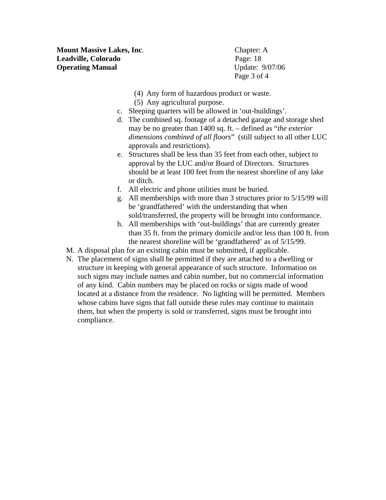**Mount Massive Lakes, Inc.** Chapter: A **Leadville, Colorado** Page: 18 **Operating Manual** Update: 9/07/06

Page 3 of 4

- (4) Any form of hazardous product or waste.
- (5) Any agricultural purpose.
- c. Sleeping quarters will be allowed in 'out-buildings'.
- d. The combined sq. footage of a detached garage and storage shed may be no greater than 1400 sq. ft. – defined as "*the exterior dimensions combined of all floors*" (still subject to all other LUC approvals and restrictions).
- e. Structures shall be less than 35 feet from each other, subject to approval by the LUC and/or Board of Directors. Structures should be at least 100 feet from the nearest shoreline of any lake or ditch.
- f. All electric and phone utilities must be buried.
- g. All memberships with more than 3 structures prior to 5/15/99 will be 'grandfathered' with the understanding that when sold/transferred, the property will be brought into conformance.
- h. All memberships with 'out-buildings' that are currently greater than 35 ft. from the primary domicile and/or less than 100 ft. from the nearest shoreline will be 'grandfathered' as of 5/15/99.
- M. A disposal plan for an existing cabin must be submitted, if applicable.
- N. The placement of signs shall be permitted if they are attached to a dwelling or structure in keeping with general appearance of such structure. Information on such signs may include names and cabin number, but no commercial information of any kind. Cabin numbers may be placed on rocks or signs made of wood located at a distance from the residence. No lighting will be permitted. Members whose cabins have signs that fall outside these rules may continue to maintain them, but when the property is sold or transferred, signs must be brought into compliance.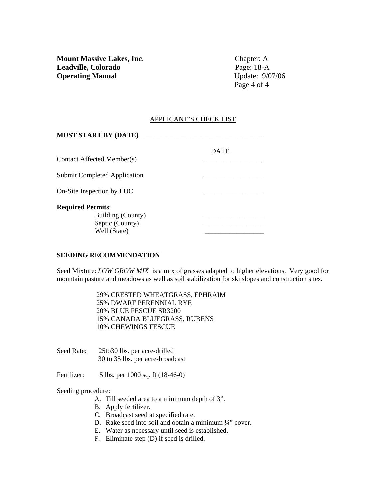Page 4 of 4

#### APPLICANT'S CHECK LIST

| <b>MUST START BY (DATE)_</b>        |             |
|-------------------------------------|-------------|
|                                     | <b>DATE</b> |
| Contact Affected Member(s)          |             |
| <b>Submit Completed Application</b> |             |
| On-Site Inspection by LUC           |             |
| <b>Required Permits:</b>            |             |
| Building (County)                   |             |
| Septic (County)                     |             |
| Well (State)                        |             |

#### **SEEDING RECOMMENDATION**

Seed Mixture: *LOW GROW MIX* is a mix of grasses adapted to higher elevations. Very good for mountain pasture and meadows as well as soil stabilization for ski slopes and construction sites.

> 29% CRESTED WHEATGRASS, EPHRAIM 25% DWARF PERENNIAL RYE 20% BLUE FESCUE SR3200 15% CANADA BLUEGRASS, RUBENS 10% CHEWINGS FESCUE

Seed Rate: 25to30 lbs. per acre-drilled 30 to 35 lbs. per acre-broadcast

Fertilizer: 5 lbs. per 1000 sq. ft (18-46-0)

#### Seeding procedure:

- A. Till seeded area to a minimum depth of 3".
- B. Apply fertilizer.
- C. Broadcast seed at specified rate.
- D. Rake seed into soil and obtain a minimum 1/4" cover.
- E. Water as necessary until seed is established.
- F. Eliminate step (D) if seed is drilled.